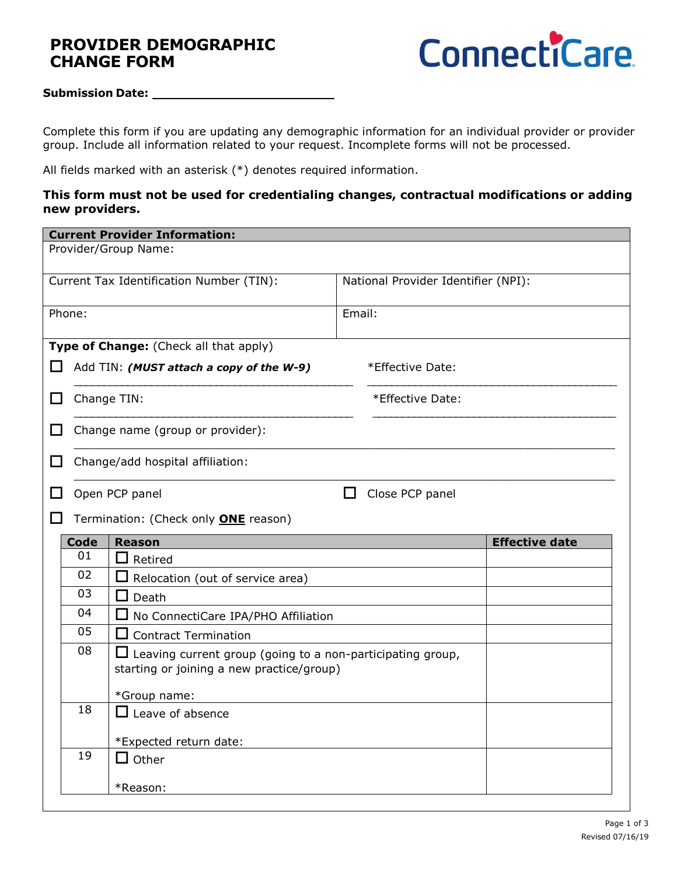# **PROVIDER DEMOGRAPHIC CHANGE FORM**



#### **Submission Date:**

Complete this form if you are updating any demographic information for an individual provider or provider group. Include all information related to your request. Incomplete forms will not be processed.

All fields marked with an asterisk (\*) denotes required information.

#### **This form must not be used for credentialing changes, contractual modifications or adding new providers.**

| <b>Current Provider Information:</b>                                            |                                                              |                                                                   |        |                       |  |  |  |  |  |  |  |
|---------------------------------------------------------------------------------|--------------------------------------------------------------|-------------------------------------------------------------------|--------|-----------------------|--|--|--|--|--|--|--|
| Provider/Group Name:                                                            |                                                              |                                                                   |        |                       |  |  |  |  |  |  |  |
| Current Tax Identification Number (TIN):<br>National Provider Identifier (NPI): |                                                              |                                                                   |        |                       |  |  |  |  |  |  |  |
|                                                                                 | Phone:                                                       |                                                                   | Email: |                       |  |  |  |  |  |  |  |
|                                                                                 | Type of Change: (Check all that apply)                       |                                                                   |        |                       |  |  |  |  |  |  |  |
| ΙI                                                                              | Add TIN: (MUST attach a copy of the W-9)<br>*Effective Date: |                                                                   |        |                       |  |  |  |  |  |  |  |
| ப                                                                               |                                                              | Change TIN:<br>*Effective Date:                                   |        |                       |  |  |  |  |  |  |  |
| H                                                                               |                                                              | Change name (group or provider):                                  |        |                       |  |  |  |  |  |  |  |
| ΙI                                                                              |                                                              | Change/add hospital affiliation:                                  |        |                       |  |  |  |  |  |  |  |
|                                                                                 |                                                              | Open PCP panel<br>Close PCP panel<br>H                            |        |                       |  |  |  |  |  |  |  |
|                                                                                 |                                                              | Termination: (Check only <b>ONE</b> reason)                       |        |                       |  |  |  |  |  |  |  |
|                                                                                 | <b>Code</b>                                                  | <b>Reason</b>                                                     |        | <b>Effective date</b> |  |  |  |  |  |  |  |
|                                                                                 | 01                                                           | Retired<br>II.                                                    |        |                       |  |  |  |  |  |  |  |
|                                                                                 | 02                                                           | $\Box$ Relocation (out of service area)                           |        |                       |  |  |  |  |  |  |  |
|                                                                                 | 03                                                           | $\Box$ Death                                                      |        |                       |  |  |  |  |  |  |  |
|                                                                                 | 04                                                           | $\Box$ No ConnectiCare IPA/PHO Affiliation                        |        |                       |  |  |  |  |  |  |  |
|                                                                                 | 05                                                           | $\Box$ Contract Termination                                       |        |                       |  |  |  |  |  |  |  |
|                                                                                 | 08                                                           | $\Box$ Leaving current group (going to a non-participating group, |        |                       |  |  |  |  |  |  |  |
|                                                                                 |                                                              | starting or joining a new practice/group)                         |        |                       |  |  |  |  |  |  |  |
|                                                                                 |                                                              | *Group name:                                                      |        |                       |  |  |  |  |  |  |  |
|                                                                                 | 18                                                           | $\Box$ Leave of absence                                           |        |                       |  |  |  |  |  |  |  |
|                                                                                 |                                                              |                                                                   |        |                       |  |  |  |  |  |  |  |
|                                                                                 | 19                                                           | *Expected return date:<br>$\Box$ Other                            |        |                       |  |  |  |  |  |  |  |
|                                                                                 |                                                              |                                                                   |        |                       |  |  |  |  |  |  |  |
|                                                                                 |                                                              | *Reason:                                                          |        |                       |  |  |  |  |  |  |  |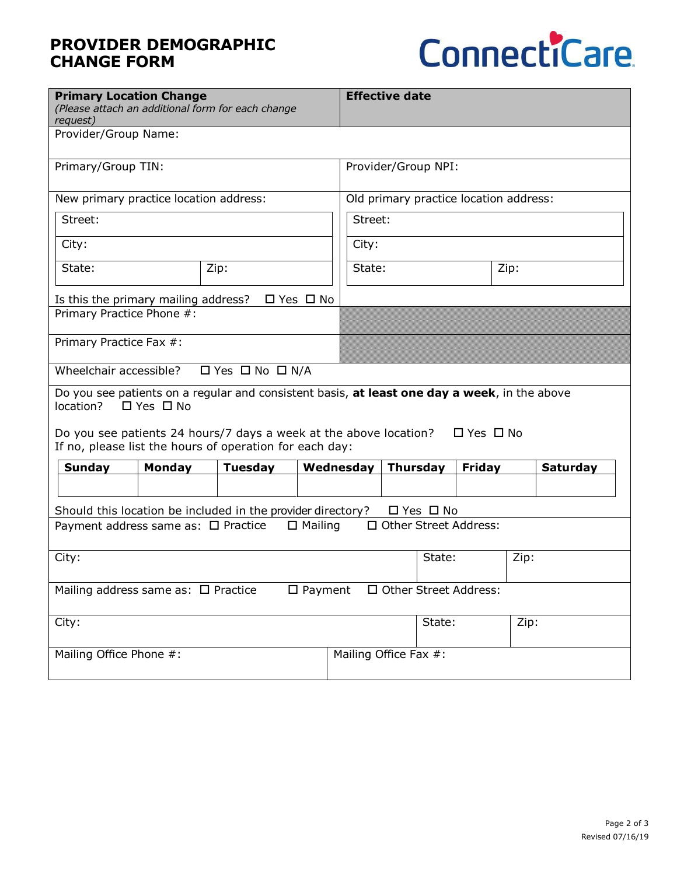# **PROVIDER DEMOGRAPHIC CHANGE FORM**



| <b>Primary Location Change</b><br>(Please attach an additional form for each change<br>request)                                                                                                                                |                                            |                |  |  | <b>Effective date</b>                  |                       |                 |               |      |                 |
|--------------------------------------------------------------------------------------------------------------------------------------------------------------------------------------------------------------------------------|--------------------------------------------|----------------|--|--|----------------------------------------|-----------------------|-----------------|---------------|------|-----------------|
| Provider/Group Name:                                                                                                                                                                                                           |                                            |                |  |  |                                        |                       |                 |               |      |                 |
| Primary/Group TIN:                                                                                                                                                                                                             |                                            |                |  |  | Provider/Group NPI:                    |                       |                 |               |      |                 |
| New primary practice location address:                                                                                                                                                                                         |                                            |                |  |  | Old primary practice location address: |                       |                 |               |      |                 |
| Street:                                                                                                                                                                                                                        |                                            |                |  |  | Street:                                |                       |                 |               |      |                 |
| City:                                                                                                                                                                                                                          |                                            |                |  |  | City:                                  |                       |                 |               |      |                 |
| State:                                                                                                                                                                                                                         |                                            | Zip:           |  |  | State:<br>Zip:                         |                       |                 |               |      |                 |
| $\Box$ Yes $\Box$ No<br>Is this the primary mailing address?                                                                                                                                                                   |                                            |                |  |  |                                        |                       |                 |               |      |                 |
| Primary Practice Phone #:                                                                                                                                                                                                      |                                            |                |  |  |                                        |                       |                 |               |      |                 |
| Primary Practice Fax #:                                                                                                                                                                                                        |                                            |                |  |  |                                        |                       |                 |               |      |                 |
|                                                                                                                                                                                                                                | Wheelchair accessible?<br>□ Yes □ No □ N/A |                |  |  |                                        |                       |                 |               |      |                 |
| Do you see patients on a regular and consistent basis, at least one day a week, in the above<br>$\Box$ Yes $\Box$ No<br>location?<br>$\Box$ Yes $\Box$ No<br>Do you see patients 24 hours/7 days a week at the above location? |                                            |                |  |  |                                        |                       |                 |               |      |                 |
| If no, please list the hours of operation for each day:                                                                                                                                                                        |                                            |                |  |  |                                        |                       |                 |               |      |                 |
| <b>Sunday</b>                                                                                                                                                                                                                  | <b>Monday</b>                              | <b>Tuesday</b> |  |  | Wednesday                              |                       | <b>Thursday</b> | <b>Friday</b> |      | <b>Saturday</b> |
|                                                                                                                                                                                                                                |                                            |                |  |  |                                        |                       |                 |               |      |                 |
| Should this location be included in the provider directory?<br>$\Box$ Yes $\Box$ No                                                                                                                                            |                                            |                |  |  |                                        |                       |                 |               |      |                 |
| □ Other Street Address:<br>$\Box$ Mailing<br>Payment address same as: □ Practice                                                                                                                                               |                                            |                |  |  |                                        |                       |                 |               |      |                 |
| City:                                                                                                                                                                                                                          |                                            |                |  |  | State:                                 |                       |                 | Zip:          |      |                 |
| □ Other Street Address:<br>$\Box$ Payment<br>Mailing address same as: $\Box$ Practice                                                                                                                                          |                                            |                |  |  |                                        |                       |                 |               |      |                 |
| City:                                                                                                                                                                                                                          |                                            |                |  |  |                                        |                       | State:          |               | Zip: |                 |
| Mailing Office Phone #:                                                                                                                                                                                                        |                                            |                |  |  |                                        | Mailing Office Fax #: |                 |               |      |                 |